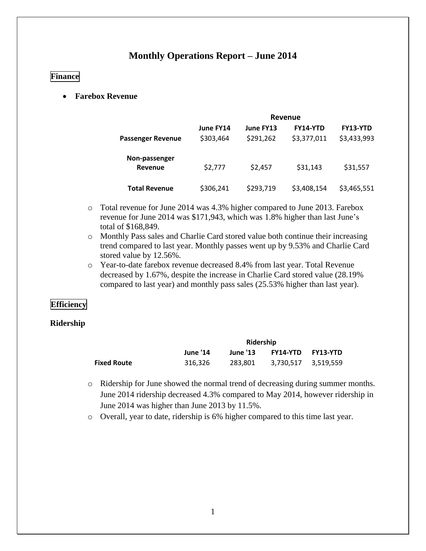# **Monthly Operations Report – June 2014**

# **Finance**

**Farebox Revenue** 

|                          | Revenue   |           |                 |             |  |
|--------------------------|-----------|-----------|-----------------|-------------|--|
|                          | June FY14 | June FY13 | <b>FY14-YTD</b> | FY13-YTD    |  |
| <b>Passenger Revenue</b> | \$303,464 | \$291,262 | \$3,377,011     | \$3,433,993 |  |
| Non-passenger            |           |           |                 |             |  |
| Revenue                  | \$2,777   | \$2,457   | \$31,143        | \$31,557    |  |
| <b>Total Revenue</b>     | \$306,241 | \$293,719 | \$3,408,154     | \$3,465,551 |  |

- o Total revenue for June 2014 was 4.3% higher compared to June 2013. Farebox revenue for June 2014 was \$171,943, which was 1.8% higher than last June's total of \$168,849.
- o Monthly Pass sales and Charlie Card stored value both continue their increasing trend compared to last year. Monthly passes went up by 9.53% and Charlie Card stored value by 12.56%.
- o Year-to-date farebox revenue decreased 8.4% from last year. Total Revenue decreased by 1.67%, despite the increase in Charlie Card stored value (28.19% compared to last year) and monthly pass sales (25.53% higher than last year).

# **Efficiency**

## **Ridership**

|                    | Ridership |                 |                          |  |  |
|--------------------|-----------|-----------------|--------------------------|--|--|
|                    | June '14  | <b>June '13</b> | <b>FY14-YTD FY13-YTD</b> |  |  |
| <b>Fixed Route</b> | 316.326   | 283.801         | 3.730.517 3.519.559      |  |  |

- o Ridership for June showed the normal trend of decreasing during summer months. June 2014 ridership decreased 4.3% compared to May 2014, however ridership in June 2014 was higher than June 2013 by 11.5%.
- o Overall, year to date, ridership is 6% higher compared to this time last year.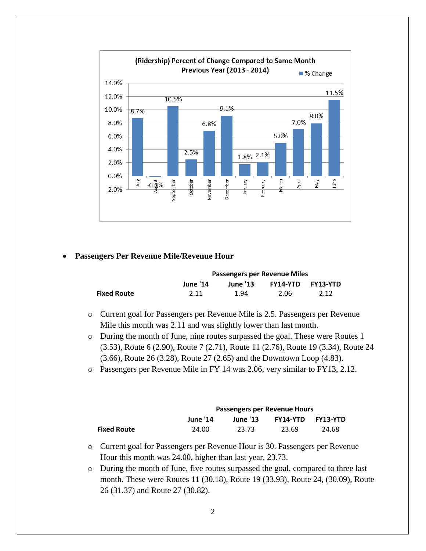

## **Passengers Per Revenue Mile/Revenue Hour**

|                    | <b>Passengers per Revenue Miles</b> |                 |      |                   |  |
|--------------------|-------------------------------------|-----------------|------|-------------------|--|
|                    | <b>June '14</b>                     | <b>June '13</b> |      | FY14-YTD FY13-YTD |  |
| <b>Fixed Route</b> | 2.11                                | 1.94            | 2.06 | 2.12              |  |

- o Current goal for Passengers per Revenue Mile is 2.5. Passengers per Revenue Mile this month was 2.11 and was slightly lower than last month.
- o During the month of June, nine routes surpassed the goal. These were Routes 1 (3.53), Route 6 (2.90), Route 7 (2.71), Route 11 (2.76), Route 19 (3.34), Route 24 (3.66), Route 26 (3.28), Route 27 (2.65) and the Downtown Loop (4.83).
- o Passengers per Revenue Mile in FY 14 was 2.06, very similar to FY13, 2.12.

|                    | Passengers per Revenue Hours                                             |       |       |       |  |
|--------------------|--------------------------------------------------------------------------|-------|-------|-------|--|
|                    | <b>FY14-YTD</b><br><b>FY13-YTD</b><br><b>June '13</b><br><b>June '14</b> |       |       |       |  |
| <b>Fixed Route</b> | 24.00                                                                    | 23.73 | 23.69 | 24.68 |  |

- o Current goal for Passengers per Revenue Hour is 30. Passengers per Revenue Hour this month was 24.00, higher than last year, 23.73.
- o During the month of June, five routes surpassed the goal, compared to three last month. These were Routes 11 (30.18), Route 19 (33.93), Route 24, (30.09), Route 26 (31.37) and Route 27 (30.82).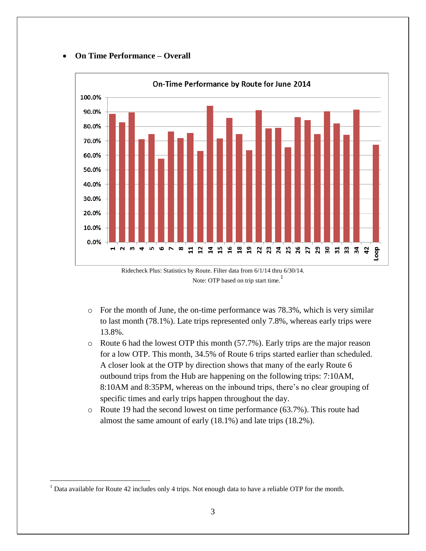## **On Time Performance – Overall**





- $\circ$  For the month of June, the on-time performance was 78.3%, which is very similar to last month (78.1%). Late trips represented only 7.8%, whereas early trips were 13.8%.
- o Route 6 had the lowest OTP this month (57.7%). Early trips are the major reason for a low OTP. This month, 34.5% of Route 6 trips started earlier than scheduled. A closer look at the OTP by direction shows that many of the early Route 6 outbound trips from the Hub are happening on the following trips: 7:10AM, 8:10AM and 8:35PM, whereas on the inbound trips, there's no clear grouping of specific times and early trips happen throughout the day.
- o Route 19 had the second lowest on time performance (63.7%). This route had almost the same amount of early (18.1%) and late trips (18.2%).

 $\overline{a}$ 

<sup>&</sup>lt;sup>1</sup> Data available for Route 42 includes only 4 trips. Not enough data to have a reliable OTP for the month.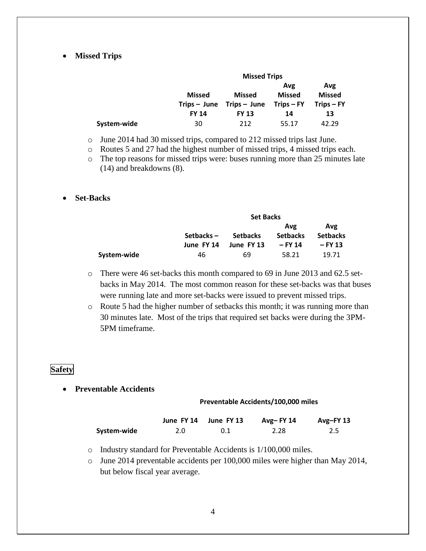### **Missed Trips**

|             | <b>Missed Trips</b> |                                               |                      |                      |  |  |
|-------------|---------------------|-----------------------------------------------|----------------------|----------------------|--|--|
|             | <b>Missed</b>       | <b>Missed</b>                                 | Avg<br><b>Missed</b> | Avg<br><b>Missed</b> |  |  |
|             | <b>FY 14</b>        | $Trips - June$ $Trips - June$<br><b>FY 13</b> | Trips – FY<br>14     | $Trips - FY$<br>13   |  |  |
| System-wide | 30                  | 212                                           | 55.17                | 42.29                |  |  |

o June 2014 had 30 missed trips, compared to 212 missed trips last June.

o Routes 5 and 27 had the highest number of missed trips, 4 missed trips each.

o The top reasons for missed trips were: buses running more than 25 minutes late (14) and breakdowns (8).

### **Set-Backs**

|             | <b>Set Backs</b>        |                               |                                   |                                     |  |  |
|-------------|-------------------------|-------------------------------|-----------------------------------|-------------------------------------|--|--|
|             | Setbacks-<br>June FY 14 | <b>Setbacks</b><br>June FY 13 | Avg<br><b>Setbacks</b><br>– FY 14 | Avg<br><b>Setbacks</b><br>$-$ FY 13 |  |  |
| System-wide | 46                      | 69                            | 58.21                             | 19.71                               |  |  |

- o There were 46 set-backs this month compared to 69 in June 2013 and 62.5 setbacks in May 2014. The most common reason for these set-backs was that buses were running late and more set-backs were issued to prevent missed trips.
- o Route 5 had the higher number of setbacks this month; it was running more than 30 minutes late. Most of the trips that required set backs were during the 3PM-5PM timeframe.

# **Safety**

**Preventable Accidents**

#### **Preventable Accidents/100,000 miles**

|             |     | June FY 14 June FY 13 | Avg-FY $14$ | Avg-FY 13 |
|-------------|-----|-----------------------|-------------|-----------|
| System-wide | 2.0 | 0.1                   | 2.28        | 2.5       |

- o Industry standard for Preventable Accidents is 1/100,000 miles.
- o June 2014 preventable accidents per 100,000 miles were higher than May 2014, but below fiscal year average.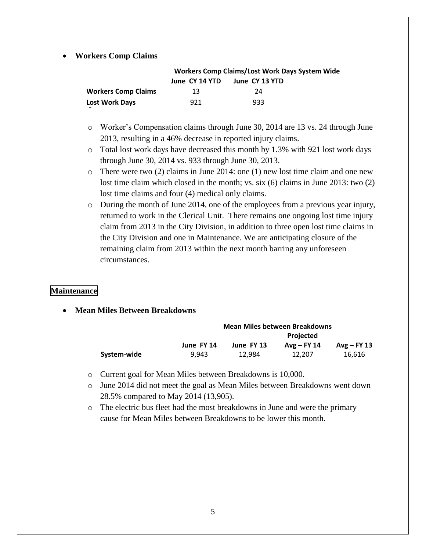### **Workers Comp Claims**

|                            | Workers Comp Claims/Lost Work Days System Wide |                |  |  |  |
|----------------------------|------------------------------------------------|----------------|--|--|--|
|                            | June CY 14 YTD                                 | June CY 13 YTD |  |  |  |
| <b>Workers Comp Claims</b> | 13                                             | 24             |  |  |  |
| <b>Lost Work Days</b>      | 921                                            | 933            |  |  |  |

- o Worker's Compensation claims through June 30, 2014 are 13 vs. 24 through June 2013, resulting in a 46% decrease in reported injury claims.
- o Total lost work days have decreased this month by 1.3% with 921 lost work days through June 30, 2014 vs. 933 through June 30, 2013.
- $\circ$  There were two (2) claims in June 2014: one (1) new lost time claim and one new lost time claim which closed in the month; vs. six (6) claims in June 2013: two (2) lost time claims and four (4) medical only claims.
- o During the month of June 2014, one of the employees from a previous year injury, returned to work in the Clerical Unit. There remains one ongoing lost time injury claim from 2013 in the City Division, in addition to three open lost time claims in the City Division and one in Maintenance. We are anticipating closure of the remaining claim from 2013 within the next month barring any unforeseen circumstances.

# **Maintenance**

**Mean Miles Between Breakdowns**

|             | <b>Mean Miles between Breakdowns</b> |            |                  |               |  |  |
|-------------|--------------------------------------|------------|------------------|---------------|--|--|
|             |                                      |            | <b>Projected</b> |               |  |  |
|             | June FY 14                           | June FY 13 | $Avg - FY 14$    | $Avg$ – FY 13 |  |  |
| System-wide | 9.943                                | 12.984     | 12.207           | 16,616        |  |  |

- o Current goal for Mean Miles between Breakdowns is 10,000.
- o June 2014 did not meet the goal as Mean Miles between Breakdowns went down 28.5% compared to May 2014 (13,905).
- o The electric bus fleet had the most breakdowns in June and were the primary cause for Mean Miles between Breakdowns to be lower this month.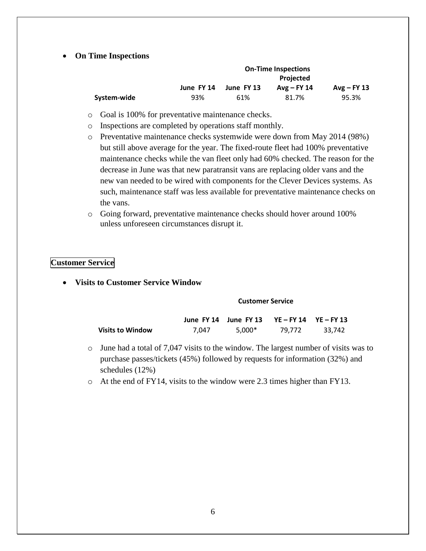### **On Time Inspections**

|             | <b>On-Time Inspections</b> |            |               |               |  |  |
|-------------|----------------------------|------------|---------------|---------------|--|--|
|             | <b>Projected</b>           |            |               |               |  |  |
|             | June FY 14                 | June FY 13 | $Avg$ – FY 14 | $Avg$ – FY 13 |  |  |
| System-wide | 93%                        | 61%        | 81.7%         | 95.3%         |  |  |

- o Goal is 100% for preventative maintenance checks.
- o Inspections are completed by operations staff monthly.
- o Preventative maintenance checks systemwide were down from May 2014 (98%) but still above average for the year. The fixed-route fleet had 100% preventative maintenance checks while the van fleet only had 60% checked. The reason for the decrease in June was that new paratransit vans are replacing older vans and the new van needed to be wired with components for the Clever Devices systems. As such, maintenance staff was less available for preventative maintenance checks on the vans.
- o Going forward, preventative maintenance checks should hover around 100% unless unforeseen circumstances disrupt it.

## **Customer Service**

**Visits to Customer Service Window**

#### **Customer Service**

|                  |       | June FY 14 June FY 13 $YE-FY$ 14 $YE-FY$ 13 |        |        |
|------------------|-------|---------------------------------------------|--------|--------|
| Visits to Window | 7.047 | $5.000*$                                    | 79.772 | 33.742 |

- o June had a total of 7,047 visits to the window. The largest number of visits was to purchase passes/tickets (45%) followed by requests for information (32%) and schedules (12%)
- o At the end of FY14, visits to the window were 2.3 times higher than FY13.